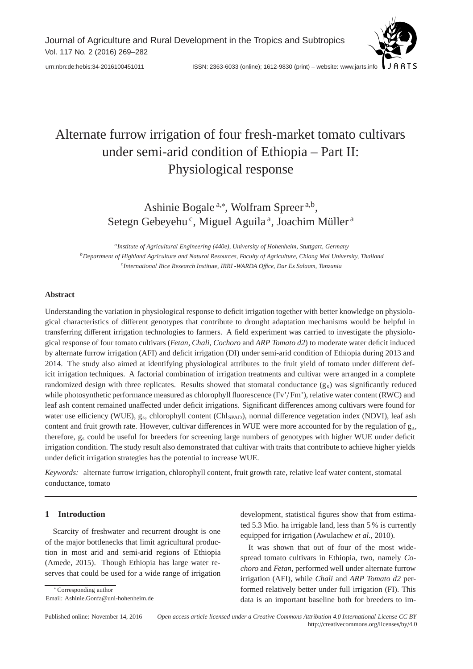[urn:nbn:de:hebis:34-2016100451011](http://nbn-resolving.de/urn:nbn:de:hebis:34-2016100451011) ISSN: 2363-6033 (online); 1612-9830 (print) – website: www.jarts.info

# Alternate furrow irrigation of four fresh-market tomato cultivars under semi-arid condition of Ethiopia – Part II: Physiological response

Ashinie Bogale<sup>a,∗</sup>, Wolfram Spreer<sup>a,b</sup>, Setegn Gebeyehu<sup>c</sup>, Miguel Aguila<sup>a</sup>, Joachim Müller<sup>a</sup>

*aInstitute of Agricultural Engineering (440e), University of Hohenheim, Stuttgart, Germany bDepartment of Highland Agriculture and Natural Resources, Faculty of Agriculture, Chiang Mai University, Thailand cInternational Rice Research Institute, IRRI -WARDA O*ffi*ce, Dar Es Salaam, Tanzania*

## **Abstract**

Understanding the variation in physiological response to deficit irrigation together with better knowledge on physiological characteristics of different genotypes that contribute to drought adaptation mechanisms would be helpful in transferring different irrigation technologies to farmers. A field experiment was carried to investigate the physiological response of four tomato cultivars (*Fetan*, *Chali*, *Cochoro* and *ARP Tomato d2*) to moderate water deficit induced by alternate furrow irrigation (AFI) and deficit irrigation (DI) under semi-arid condition of Ethiopia during 2013 and 2014. The study also aimed at identifying physiological attributes to the fruit yield of tomato under different deficit irrigation techniques. A factorial combination of irrigation treatments and cultivar were arranged in a complete randomized design with three replicates. Results showed that stomatal conductance  $(g<sub>s</sub>)$  was significantly reduced while photosynthetic performance measured as chlorophyll fluorescence (Fv'/ Fm'), relative water content (RWC) and leaf ash content remained unaffected under deficit irrigations. Significant differences among cultivars were found for water use efficiency (WUE), g<sub>s</sub>, chlorophyll content (Chl<sub>SPAD</sub>), normal difference vegetation index (NDVI), leaf ash content and fruit growth rate. However, cultivar differences in WUE were more accounted for by the regulation of  $g_s$ , therefore, gs could be useful for breeders for screening large numbers of genotypes with higher WUE under deficit irrigation condition. The study result also demonstrated that cultivar with traits that contribute to achieve higher yields under deficit irrigation strategies has the potential to increase WUE.

*Keywords:* alternate furrow irrigation, chlorophyll content, fruit growth rate, relative leaf water content, stomatal conductance, tomato

## **1 Introduction**

∗ Corresponding author

Email: Ashinie.Gonfa@uni-hohenheim.de

Scarcity of freshwater and recurrent drought is one of the major bottlenecks that limit agricultural production in most arid and semi-arid regions of Ethiopia (Amede, 2015). Though Ethiopia has large water reserves that could be used for a wide range of irrigation development, statistical figures show that from estimated 5.3 Mio. ha irrigable land, less than 5 % is currently equipped for irrigation (Awulachew *et al.*, 2010).

It was shown that out of four of the most widespread tomato cultivars in Ethiopia, two, namely *Cochoro* and *Fetan*, performed well under alternate furrow irrigation (AFI), while *Chali* and *ARP Tomato d2* performed relatively better under full irrigation (FI). This data is an important baseline both for breeders to im-

Published online: November 14, 2016 *Open access article licensed under a Creative Commons Attribution 4.0 International License CC BY* http://creativecommons.org/licenses/by/4.0

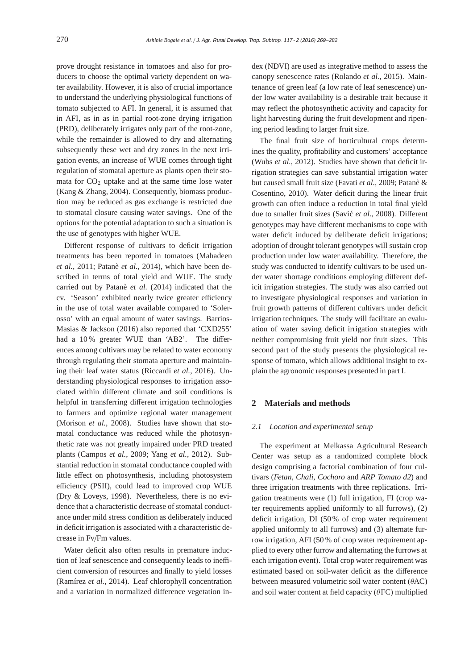prove drought resistance in tomatoes and also for producers to choose the optimal variety dependent on water availability. However, it is also of crucial importance to understand the underlying physiological functions of tomato subjected to AFI. In general, it is assumed that in AFI, as in as in partial root-zone drying irrigation (PRD), deliberately irrigates only part of the root-zone, while the remainder is allowed to dry and alternating subsequently these wet and dry zones in the next irrigation events, an increase of WUE comes through tight regulation of stomatal aperture as plants open their stomata for  $CO<sub>2</sub>$  uptake and at the same time lose water (Kang & Zhang, 2004). Consequently, biomass production may be reduced as gas exchange is restricted due to stomatal closure causing water savings. One of the options for the potential adaptation to such a situation is the use of genotypes with higher WUE.

Different response of cultivars to deficit irrigation treatments has been reported in tomatoes (Mahadeen *et al.*, 2011; Patanè *et al.*, 2014), which have been described in terms of total yield and WUE. The study carried out by Patanè *et al.* (2014) indicated that the cv. 'Season' exhibited nearly twice greater efficiency in the use of total water available compared to 'Solerosso' with an equal amount of water savings. Barrios-Masias & Jackson (2016) also reported that 'CXD255' had a 10 % greater WUE than 'AB2'. The differences among cultivars may be related to water economy through regulating their stomata aperture and maintaining their leaf water status (Riccardi *et al.*, 2016). Understanding physiological responses to irrigation associated within different climate and soil conditions is helpful in transferring different irrigation technologies to farmers and optimize regional water management (Morison *et al.*, 2008). Studies have shown that stomatal conductance was reduced while the photosynthetic rate was not greatly impaired under PRD treated plants (Campos *et al.*, 2009; Yang *et al.*, 2012). Substantial reduction in stomatal conductance coupled with little effect on photosynthesis, including photosystem efficiency (PSII), could lead to improved crop WUE (Dry & Loveys, 1998). Nevertheless, there is no evidence that a characteristic decrease of stomatal conductance under mild stress condition as deliberately induced in deficit irrigation is associated with a characteristic decrease in Fv/Fm values.

Water deficit also often results in premature induction of leaf senescence and consequently leads to inefficient conversion of resources and finally to yield losses (Ramírez *et al.*, 2014). Leaf chlorophyll concentration and a variation in normalized difference vegetation index (NDVI) are used as integrative method to assess the canopy senescence rates (Rolando *et al.*, 2015). Maintenance of green leaf (a low rate of leaf senescence) under low water availability is a desirable trait because it may reflect the photosynthetic activity and capacity for light harvesting during the fruit development and ripening period leading to larger fruit size.

The final fruit size of horticultural crops determines the quality, profitability and customers' acceptance (Wubs *et al.*, 2012). Studies have shown that deficit irrigation strategies can save substantial irrigation water but caused small fruit size (Favati *et al.*, 2009; Patanè & Cosentino, 2010). Water deficit during the linear fruit growth can often induce a reduction in total final yield due to smaller fruit sizes (Savić et al., 2008). Different genotypes may have different mechanisms to cope with water deficit induced by deliberate deficit irrigations; adoption of drought tolerant genotypes will sustain crop production under low water availability. Therefore, the study was conducted to identify cultivars to be used under water shortage conditions employing different deficit irrigation strategies. The study was also carried out to investigate physiological responses and variation in fruit growth patterns of different cultivars under deficit irrigation techniques. The study will facilitate an evaluation of water saving deficit irrigation strategies with neither compromising fruit yield nor fruit sizes. This second part of the study presents the physiological response of tomato, which allows additional insight to explain the agronomic responses presented in part I.

## **2 Materials and methods**

#### *2.1 Location and experimental setup*

The experiment at Melkassa Agricultural Research Center was setup as a randomized complete block design comprising a factorial combination of four cultivars (*Fetan*, *Chali*, *Cochoro* and *ARP Tomato d2*) and three irrigation treatments with three replications. Irrigation treatments were (1) full irrigation, FI (crop water requirements applied uniformly to all furrows), (2) deficit irrigation, DI (50 % of crop water requirement applied uniformly to all furrows) and (3) alternate furrow irrigation, AFI (50 % of crop water requirement applied to every other furrow and alternating the furrows at each irrigation event). Total crop water requirement was estimated based on soil-water deficit as the difference between measured volumetric soil water content (θAC) and soil water content at field capacity  $(\theta FC)$  multiplied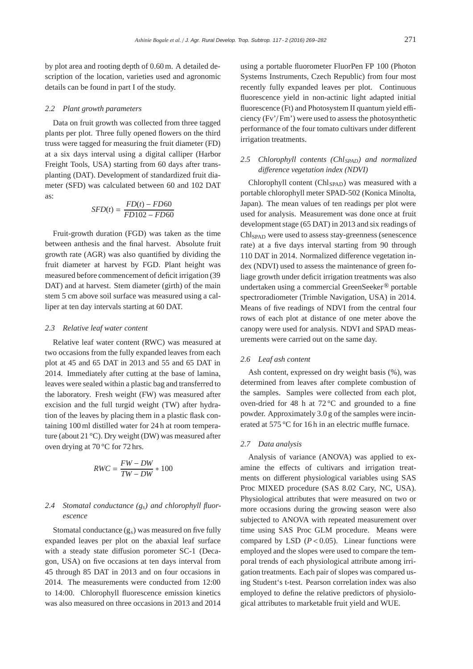by plot area and rooting depth of 0.60 m. A detailed description of the location, varieties used and agronomic details can be found in part I of the study.

#### *2.2 Plant growth parameters*

Data on fruit growth was collected from three tagged plants per plot. Three fully opened flowers on the third truss were tagged for measuring the fruit diameter (FD) at a six days interval using a digital calliper (Harbor Freight Tools, USA) starting from 60 days after transplanting (DAT). Development of standardized fruit diameter (SFD) was calculated between 60 and 102 DAT as:

$$
SFD(t) = \frac{FD(t) - FD60}{FD102 - FD60}
$$

Fruit-growth duration (FGD) was taken as the time between anthesis and the final harvest. Absolute fruit growth rate (AGR) was also quantified by dividing the fruit diameter at harvest by FGD. Plant height was measured before commencement of deficit irrigation (39 DAT) and at harvest. Stem diameter (girth) of the main stem 5 cm above soil surface was measured using a calliper at ten day intervals starting at 60 DAT.

#### *2.3 Relative leaf water content*

Relative leaf water content (RWC) was measured at two occasions from the fully expanded leaves from each plot at 45 and 65 DAT in 2013 and 55 and 65 DAT in 2014. Immediately after cutting at the base of lamina, leaves were sealed within a plastic bag and transferred to the laboratory. Fresh weight (FW) was measured after excision and the full turgid weight (TW) after hydration of the leaves by placing them in a plastic flask containing 100 ml distilled water for 24 h at room temperature (about 21 °C). Dry weight (DW) was measured after oven drying at 70 °C for 72 hrs.

$$
RWC = \frac{FW - DW}{TW - DW} * 100
$$

# *2.4 Stomatal conductance (gs) and chlorophyll fluorescence*

Stomatal conductance  $(g_s)$  was measured on five fully expanded leaves per plot on the abaxial leaf surface with a steady state diffusion porometer SC-1 (Decagon, USA) on five occasions at ten days interval from 45 through 85 DAT in 2013 and on four occasions in 2014. The measurements were conducted from 12:00 to 14:00. Chlorophyll fluorescence emission kinetics was also measured on three occasions in 2013 and 2014

using a portable fluorometer FluorPen FP 100 (Photon Systems Instruments, Czech Republic) from four most recently fully expanded leaves per plot. Continuous fluorescence yield in non-actinic light adapted initial fluorescence (Ft) and Photosystem II quantum yield efficiency (Fv'/ Fm') were used to assess the photosynthetic performance of the four tomato cultivars under different irrigation treatments.

# 2.5 Chlorophyll contents (Chl<sub>SPAD</sub>) and normalized *di*ff*erence vegetation index (NDVI)*

Chlorophyll content (Chl<sub>SPAD</sub>) was measured with a portable chlorophyll meter SPAD-502 (Konica Minolta, Japan). The mean values of ten readings per plot were used for analysis. Measurement was done once at fruit development stage (65 DAT) in 2013 and six readings of Chl<sub>SPAD</sub> were used to assess stay-greenness (senescence rate) at a five days interval starting from 90 through 110 DAT in 2014. Normalized difference vegetation index (NDVI) used to assess the maintenance of green foliage growth under deficit irrigation treatments was also undertaken using a commercial GreenSeeker ® portable spectroradiometer (Trimble Navigation, USA) in 2014. Means of five readings of NDVI from the central four rows of each plot at distance of one meter above the canopy were used for analysis. NDVI and SPAD measurements were carried out on the same day.

## *2.6 Leaf ash content*

Ash content, expressed on dry weight basis (%), was determined from leaves after complete combustion of the samples. Samples were collected from each plot, oven-dried for 48 h at 72 °C and grounded to a fine powder. Approximately 3.0 g of the samples were incinerated at 575 °C for 16 h in an electric muffle furnace.

## *2.7 Data analysis*

Analysis of variance (ANOVA) was applied to examine the effects of cultivars and irrigation treatments on different physiological variables using SAS Proc MIXED procedure (SAS 8.02 Cary, NC, USA). Physiological attributes that were measured on two or more occasions during the growing season were also subjected to ANOVA with repeated measurement over time using SAS Proc GLM procedure. Means were compared by LSD  $(P < 0.05)$ . Linear functions were employed and the slopes were used to compare the temporal trends of each physiological attribute among irrigation treatments. Each pair of slopes was compared using Student's t-test. Pearson correlation index was also employed to define the relative predictors of physiological attributes to marketable fruit yield and WUE.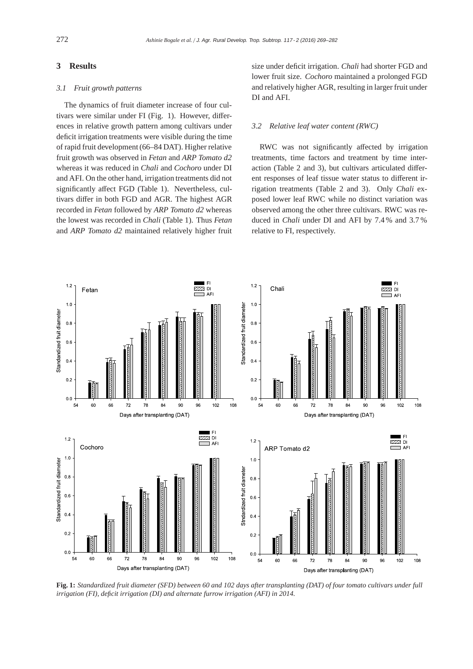## **3 Results**

#### *3.1 Fruit growth patterns*

The dynamics of fruit diameter increase of four cultivars were similar under FI (Fig. 1). However, differences in relative growth pattern among cultivars under deficit irrigation treatments were visible during the time of rapid fruit development (66–84 DAT). Higher relative fruit growth was observed in *Fetan* and *ARP Tomato d2* whereas it was reduced in *Chali* and *Cochoro* under DI and AFI. On the other hand, irrigation treatments did not significantly affect FGD (Table 1). Nevertheless, cultivars differ in both FGD and AGR. The highest AGR recorded in *Fetan* followed by *ARP Tomato d2* whereas the lowest was recorded in *Chali* (Table 1). Thus *Fetan* and *ARP Tomato d2* maintained relatively higher fruit

size under deficit irrigation. *Chali* had shorter FGD and lower fruit size. *Cochoro* maintained a prolonged FGD and relatively higher AGR, resulting in larger fruit under DI and AFI.

#### *3.2 Relative leaf water content (RWC)*

RWC was not significantly affected by irrigation treatments, time factors and treatment by time interaction (Table 2 and 3), but cultivars articulated different responses of leaf tissue water status to different irrigation treatments (Table 2 and 3). Only *Chali* exposed lower leaf RWC while no distinct variation was observed among the other three cultivars. RWC was reduced in *Chali* under DI and AFI by 7.4 % and 3.7 % relative to FI, respectively.



**Fig. 1:** *Standardized fruit diameter (SFD) between 60 and 102 days after transplanting (DAT) of four tomato cultivars under full irrigation (FI), deficit irrigation (DI) and alternate furrow irrigation (AFI) in 2014.*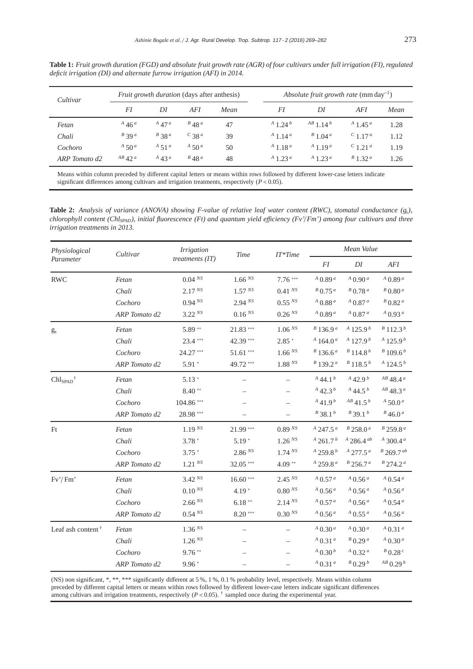**Table 1:** *Fruit growth duration (FGD) and absolute fruit growth rate (AGR) of four cultivars under full irrigation (FI), regulated deficit irrigation (DI) and alternate furrow irrigation (AFI) in 2014.*

| Cultivar      | Fruit growth duration (days after anthesis) |            |                     | Absolute fruit growth rate $(mm \, day^{-1})$ |                                 |                           |                         |      |
|---------------|---------------------------------------------|------------|---------------------|-----------------------------------------------|---------------------------------|---------------------------|-------------------------|------|
|               | FI                                          | DI         | AFI                 | Mean                                          | FI                              | DI                        | AFI                     | Mean |
| Fetan         | $^{A}$ 46 <sup>a</sup>                      | $A$ 47 $a$ | $B$ 48 <sup>a</sup> | 47                                            | $^{A}$ 1.24 $^{b}$              | $^{AB}$ 1.14 <sup>b</sup> | $^{A}$ 1.45 $^{a}$      | 1.28 |
| Chali         | $B$ 39 $a$                                  | $B$ 38 $a$ | $C_{38}a$           | 39                                            | $^{A}$ 1.14 <sup>a</sup>        | $B$ 1.04 $^a$             | $C_{1.17}a$             | 1.12 |
| Cochoro       | $A$ 50 $^a$                                 | $A$ 51 $a$ | $A$ 50 $^a$         | 50                                            | $^{A}$ 1.18 <sup>a</sup>        | $^{A}$ 1.19 <sup>a</sup>  | $C_{1,21}$ <sup>a</sup> | 1.19 |
| ARP Tomato d2 | $AB$ 42 <sup>a</sup>                        | $A_4$ 3 a  | $B$ 48 <sup>a</sup> | 48                                            | $^{A}$ 1.23 <sup><i>a</i></sup> | $A$ 1.23 $a$              | $B$ 1.32 $a$            | 1.26 |

Means within column preceded by different capital letters or means within rows followed by different lower-case letters indicate significant differences among cultivars and irrigation treatments, respectively (*P*< 0.05).

**Table 2:** *Analysis of variance (ANOVA) showing F-value of relative leaf water content (RWC), stomatal conductance (gs), chlorophyll content (ChlSPAD), initial fluorescence (Ft) and quantum yield e*ffi*ciency (Fv'*/ *Fm') among four cultivars and three irrigation treatments in 2013.*

| Physiological                           | Cultivar      | <i>Irrigation</i>  | <b>Time</b>         | $IT*Time$           | Mean Value                            |                           |                               |
|-----------------------------------------|---------------|--------------------|---------------------|---------------------|---------------------------------------|---------------------------|-------------------------------|
| Parameter                               |               | treatments $(IT)$  |                     |                     | <b>FI</b>                             | DI                        | $AFI$                         |
| <b>RWC</b>                              | Fetan         | $0.04^{NS}$        | 1.66 Ns             | $7.76***$           | $^{A}$ 0.89 $^{a}$                    | $^{A}$ 0.90 $^{a}$        | $^{A}$ 0.89 $^{a}$            |
|                                         | Chali         | 2.17 <sup>NS</sup> | 1.57 N <sub>S</sub> | 0.41 Ns             | $B$ 0.75 $a$                          | $B$ 0.78 $a$              | $B$ 0.80 $a$                  |
|                                         | Cochoro       | 0.94 Ns            | $2.94^{NS}$         | 0.55 Ns             | $^{A}$ 0.88 $^{a}$                    | $^{A}$ 0.87 $^{a}$        | $B$ 0.82 $a$                  |
|                                         | ARP Tomato d2 | $3.22^{NS}$        | $0.16\,{}^{NS}$     | 0.26 <sup>NS</sup>  | $^{A}$ 0.89 $^{a}$                    | $^{A}$ 0.87 $^{a}$        | $^{A}$ 0.93 $^{a}$            |
| $g_s$                                   | Fetan         | $5.89**$           | $21.83***$          | 1.06 Ns             | $B$ 136.9 <sup>a</sup>                | $^{A}$ 125.9 $^{b}$       | $B$ 112.3 $b$                 |
|                                         | Chali         | 23.4***            | 42.39 ***           | $2.85*$             | $^{A}$ 164.0 <sup>a</sup>             | $^{A}$ 127.9 <sup>b</sup> | $^{A}$ 125.9 $^{b}$           |
|                                         | Cochoro       | 24.27***           | $51.61***$          | 1.66 <sup>NS</sup>  | $B$ 136.6 <sup>a</sup>                | $B$ 114.8 $b$             | $B$ 109.6 $b$                 |
|                                         | ARP Tomato d2 | $5.91*$            | 49.72***            | 1.88 N <sub>S</sub> | $B$ 139.2 $a$                         | $B$ 118.5 $b$             | $^{A}$ 124.5 $^{b}$           |
| $\text{Chl}_{\text{SPAD}}$ <sup>†</sup> | Fetan         | $5.13*$            |                     |                     | $A$ 44.1 $b$                          | $A_{42.9b}$               | $^{AB}$ 48.4 $^{a}$           |
|                                         | Chali         | $8.40**$           |                     |                     | $A_{42,3}b$                           | $A$ 44.5 $b$              | $AB$ 48.3 <sup><i>a</i></sup> |
|                                         | Cochoro       | 104.86***          |                     |                     | $A$ 41.9 $b$                          | $^{AB}$ 41.5 <sup>b</sup> | $A$ 50.0 $a$                  |
|                                         | ARP Tomato d2 | 28.98 ***          |                     |                     | $B$ 38.1 $b$                          | $B$ 39.1 $b$              | $B$ 46.0 $a$                  |
| Ft                                      | Fetan         | 1.19 <sup>NS</sup> | $21.99***$          | 0.89 <sup>NS</sup>  | $^{A}$ 247.5 $^{a}$                   | $B$ 258.0 <sup>a</sup>    | $B$ 259.8 $a$                 |
|                                         | Chali         | $3.78*$            | $5.19*$             | 1.26 Ns             | $A$ 261.7 $b$                         | $A$ 286.4 $ab$            | $^{A}$ 300.4 $^{a}$           |
|                                         | Cochoro       | $3.75*$            | 2.86 Ns             | 1.74 Ns             | $^{A}$ 259.8 $^{b}$                   | $A$ 277.5 $a$             | $B$ 269.7 $ab$                |
|                                         | ARP Tomato d2 | 1.21 <sup>NS</sup> | $32.05***$          | $4.09**$            | $^{A}$ 259.8 $^{a}$                   | $B$ 256.7 <sup>a</sup>    | $B$ 274.2 <sup><i>a</i></sup> |
| Fv'/Fm'                                 | Fetan         | 3.42 Ns            | $16.60***$          | 2.45 Ns             | $^{A}$ 0.57 $^{a}$                    | $^{A}$ 0.56 $^{a}$        | $A$ 0.54 $a$                  |
|                                         | Chali         | $0.10^{N_S}$       | $4.19*$             | 0.80 N              | $^{A}$ 0.56 <sup><math>a</math></sup> | $^{A}$ 0.56 $^{a}$        | $^{A}$ 0.56 $^{a}$            |
|                                         | Cochoro       | $2.66NS$           | $6.18**$            | $2.14^{N_S}$        | $^{A}$ 0.57 $^{a}$                    | $^{A}$ 0.56 $^{a}$        | $^{A}$ 0.54 $^{a}$            |
|                                         | ARP Tomato d2 | 0.54 <sup>NS</sup> | $8.20***$           | 0.30 <sup>NS</sup>  | $^{A}$ 0.56 $^{a}$                    | $^{A}$ 0.55 $^{a}$        | $^{A}$ 0.56 $^{a}$            |
| Leaf ash content $\dagger$              | Fetan         | $1.36NS$           |                     |                     | $^{A}$ 0.30 <sup><math>a</math></sup> | $^{A}$ 0.30 $^{a}$        | $^{A}$ 0.31 $^{a}$            |
|                                         | Chali         | 1.26 Ns            |                     |                     | $A$ 0.31 $a$                          | $B$ 0.29 $a$              | $^{A}$ 0.30 $^{a}$            |
|                                         | Cochoro       | $9.76**$           |                     |                     | $^{A}$ 0.30 $^{b}$                    | $^{A}$ 0.32 $^{a}$        | $B$ 0.28 $c$                  |
|                                         | ARP Tomato d2 | $9.96*$            |                     |                     | $^{A}$ 0.31 $^{a}$                    | $B$ 0.29 $b$              | $^{AB}$ 0.29 $^{b}$           |

(NS) non significant, \*, \*\*, \*\*\* significantly different at 5 %, 1 %, 0.1 % probability level, respectively. Means within column preceded by different capital letters or means within rows followed by different lower-case letters indicate significant differences among cultivars and irrigation treatments, respectively  $(P < 0.05)$ . † sampled once during the experimental year.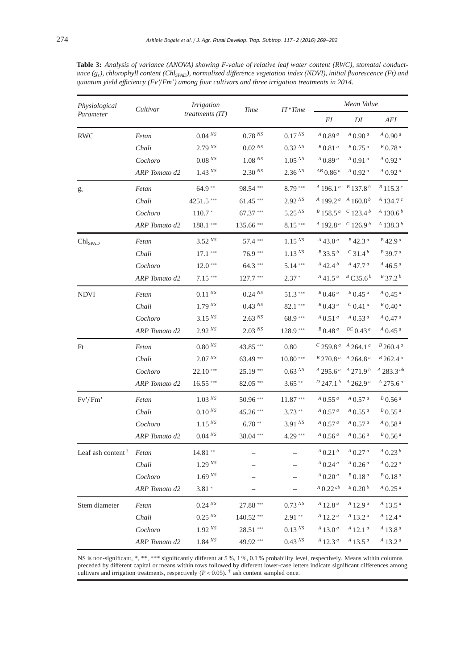| Physiological              | Cultivar      | <i>Irrigation</i>   | Time               | $IT^*Time$         | Mean Value                             |                                                             |                                 |
|----------------------------|---------------|---------------------|--------------------|--------------------|----------------------------------------|-------------------------------------------------------------|---------------------------------|
| Parameter                  |               | treatments $(IT)$   |                    |                    | FI                                     | DI                                                          | AFI                             |
| <b>RWC</b>                 | Fetan         | 0.04 Ns             | 0.78 N             | $0.17^{N_S}$       | $^{A}$ 0.89 $^{a}$                     | $^{A}$ 0.90 $^{a}$                                          | $^{A}$ 0.90 $^{a}$              |
|                            | Chali         | 2.79 <sup>NS</sup>  | $0.02^{NS}$        | 0.32 Ns            | $B$ 0.81 $a$                           | $B$ 0.75 $a$                                                | $B$ 0.78 $a$                    |
|                            | Cochoro       | $0.08\,{}^{NS}$     | 1.08 <sup>NS</sup> | 1.05 <sup>NS</sup> | $^{A}$ 0.89 $^{a}$                     | $^{A}$ 0.91 $^{a}$                                          | $^{A}$ 0.92 $^{a}$              |
|                            | ARP Tomato d2 | 1.43 N <sub>S</sub> | 2.30 <sup>NS</sup> | 2.36 Ns            | $^{AB}$ 0.86 <sup><math>a</math></sup> | $^{A}$ 0.92 $^{a}$                                          | $^{A}$ 0.92 $^{a}$              |
| $g_s$                      | Fetan         | $64.9**$            | 98.54***           | $8.79***$          |                                        | $A$ 196.1 <sup>a</sup> $B$ 137.8 <sup>b</sup>               | $B$ 115.3 <sup>c</sup>          |
|                            | Chali         | 4251.5***           | $61.45***$         | $2.92^{NS}$        |                                        | $A$ 199 2 <sup>a</sup> $A$ 160 8 <sup>b</sup>               | $^{A}$ 134.7 $^{c}$             |
|                            | Cochoro       | $110.7*$            | $67.37***$         | 5.25 <sup>NS</sup> |                                        | $B$ 158.5 <sup><i>a</i></sup> $C$ 123.4 <sup><i>b</i></sup> | $^{A}$ 130.6 <sup>b</sup>       |
|                            | ARP Tomato d2 | 188.1 ***           | 135.66***          | $8.15***$          |                                        | $^{A}$ 192.8 <sup>a</sup> $^{C}$ 126.9 <sup>b</sup>         | $^{A}$ 138.3 $^{b}$             |
| Chl <sub>SPAD</sub>        | Fetan         | $3.52^{NS}$         | 57.4 ***           | $1.15^{N_S}$       | $^{A}$ 43.0 <sup>a</sup>               | $B$ 42.3 <sup>a</sup>                                       | $B$ 42.9 <sup>a</sup>           |
|                            | Chali         | $17.1***$           | $76.9***$          | 1.13 <sup>NS</sup> | $B$ 33.5 $b$                           | $C_{31.4}^{b}$                                              | $B$ 39.7 <sup>a</sup>           |
|                            | Cochoro       | $12.0***$           | $64.3***$          | $5.14***$          | $A_{42.4}b$                            | $A$ 47.7 $a$                                                | $^{A}$ 46.5 <sup>a</sup>        |
|                            | ARP Tomato d2 | $7.15***$           | $127.7***$         | $2.37*$            | $^{A}$ 41.5 <sup><math>a</math></sup>  | $B$ C35.6 $b$                                               | $B$ 37.2 $b$                    |
| <b>NDVI</b>                | Fetan         | $0.11^{NS}$         | $0.24^{NS}$        | $51.3***$          | $B$ 0.46 $a$                           | $B$ 0.45 $a$                                                | $A$ 0.45 $a$                    |
|                            | Chali         | 1.79 <sup>NS</sup>  | 0.43 Ns            | 82.1***            | $B$ 0.43 <sup>a</sup>                  | $^{c}$ 0.41 $^{a}$                                          | $B$ 0.40 $a$                    |
|                            | Cochoro       | 3.15 <sup>NS</sup>  | 2.63 <sup>NS</sup> | 68.9***            | $^{A}$ 0.51 $^{a}$                     | $^{A}$ 0.53 $^{a}$                                          | $^{A}$ 0.47 $^{a}$              |
|                            | ARP Tomato d2 | 2.92 Ns             | $2.03^{NS}$        | $128.9***$         | $B$ 0.48 $a$                           | ${}^{BC}$ 0.43 <sup>a</sup>                                 | $^{A}$ 0.45 $^{a}$              |
| Ft                         | Fetan         | 0.80 <sup>NS</sup>  | 43.85***           | 0.80               |                                        | $C$ 259.8 <sup>a</sup> $A$ 264.1 <sup>a</sup>               | $B$ 260.4 $a$                   |
|                            | Chali         | 2.07 <sup>NS</sup>  | $63.49***$         | $10.80***$         |                                        | $B$ 270.8 <sup>a</sup> $A$ 264.8 <sup>a</sup>               | $B$ 262.4 $a$                   |
|                            | Cochoro       | $22.10***$          | 25.19***           | $0.63^{NS}$        |                                        | $A$ 295.6 <sup>a</sup> $A$ 271.9 <sup>b</sup>               | $^{A}$ 283.3 $^{ab}$            |
|                            | ARP Tomato d2 | $16.55***$          | $82.05***$         | $3.65***$          |                                        | $D$ 247.1 $b$ $A$ 262.9 $a$                                 | $^{A}$ 275.6 <sup>a</sup>       |
| Fv'/Fm'                    | Fetan         | 1.03 Ns             | 50.96***           | $11.87***$         | $^{A}$ 0.55 $^{a}$                     | $^{A}$ 0.57 $^{a}$                                          | $B$ 0.56 $a$                    |
|                            | Chali         | 0.10 <sup>NS</sup>  | 45.26***           | $3.73**$           | $^{A}$ 0.57 $^{a}$                     | $^{A}$ 0.55 $^{a}$                                          | $B$ 0.55 $a$                    |
|                            | Cochoro       | 1.15 <sup>NS</sup>  | $6.78**$           | 3.91 Ns            | $^{A}$ 0.57 $^{a}$                     | $^{A}$ 0.57 $^{a}$                                          | $^{A}$ 0.58 $^{a}$              |
|                            | ARP Tomato d2 | $0.04^{NS}$         | $38.04***$         | 4.29 ***           | $^{A}$ 0.56 $^{a}$                     | $^{A}$ 0.56 $^{a}$                                          | $B$ 0.56 <sup>a</sup>           |
| Leaf ash content $\dagger$ | Fetan         | $14.81**$           |                    |                    | $A$ 0.21 $b$                           | $A$ 0.27 $a$                                                | $A \left( 0.23 \right)$         |
|                            | Chali         | 1.29 <sup>NS</sup>  |                    |                    | $^{A}$ 0.24 $^{a}$                     | $A$ 0.26 $a$                                                | $A$ 0.22 $a$                    |
|                            | Cochoro       | 1.69 <sup>NS</sup>  |                    |                    | $^{A}$ 0.20 $^{a}$                     | $B$ 0.18 $a$                                                | $B$ 0.18 $a$                    |
|                            | ARP Tomato d2 | $3.81*$             |                    |                    | $A$ 0.22 $ab$                          | $B$ 0.20 $b$                                                | $^{A}$ 0.25 $^{a}$              |
| Stem diameter              | Fetan         | 0.24 Ns             | 27.88 ***          | 0.73 Ns            | $A$ 12.8 $a$                           | $A$ 12.9 $a$                                                | $^{A}$ 13.5 $^{a}$              |
|                            | Chali         | 0.25 <sup>NS</sup>  | 140.52***          | $2.91**$           | $A$ 12.2 $a$                           | $A$ 13.2 $a$                                                | $A$ 12.4 $a$                    |
|                            | Cochoro       | 1.92 <sup>NS</sup>  | 28.51 ***          | 0.13 <sup>NS</sup> | $^{A}$ 13.0 <sup><math>a</math></sup>  | $A$ 12.1 <sup>a</sup>                                       | $A$ 13.8 $a$                    |
|                            | ARP Tomato d2 | 1.84 NS             | 49.92***           | 0.43 Ns            | $^{A}$ 12.3 <sup>a</sup>               | $^{A}$ 13.5 $^{a}$                                          | $^{A}$ 13.2 <sup><i>a</i></sup> |

**Table 3:** *Analysis of variance (ANOVA) showing F-value of relative leaf water content (RWC), stomatal conductance (gs), chlorophyll content (ChlSPAD), normalized di*ff*erence vegetation index (NDVI), initial fluorescence (Ft) and quantum yield e*ffi*ciency (Fv'*/ *Fm') among four cultivars and three irrigation treatments in 2014.*

NS is non-significant, \*, \*\*, \*\*\* significantly different at 5 %, 1 %, 0.1 % probability level, respectively. Means within columns preceded by different capital or means within rows followed by different lower-case letters indicate significant differences among cultivars and irrigation treatments, respectively  $(P < 0.05)$ . † ash content sampled once.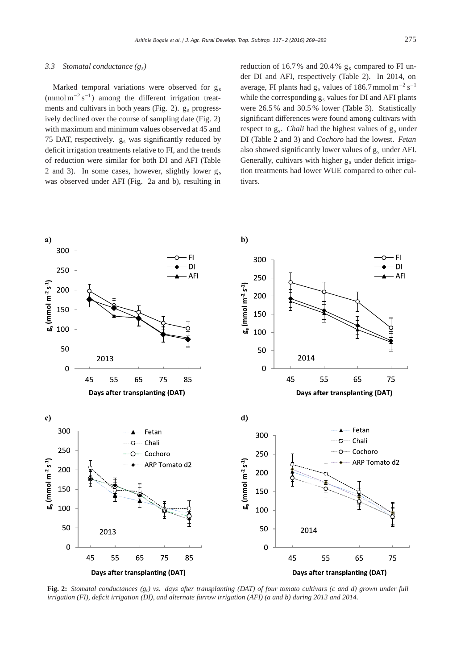#### *3.3 Stomatal conductance (gs)*

Marked temporal variations were observed for  $g_s$ (mmol m<sup>-2</sup> s<sup>-1</sup>) among the different irrigation treatments and cultivars in both years (Fig. 2). g<sub>s</sub> progressively declined over the course of sampling date (Fig. 2) with maximum and minimum values observed at 45 and 75 DAT, respectively.  $g_s$  was significantly reduced by deficit irrigation treatments relative to FI, and the trends of reduction were similar for both DI and AFI (Table 2 and 3). In some cases, however, slightly lower  $g_s$ was observed under AFI (Fig. 2a and b), resulting in

reduction of 16.7% and 20.4%  $g_s$  compared to FI under DI and AFI, respectively (Table 2). In 2014, on average, FI plants had  $g_s$  values of 186.7 mmol m<sup>-2</sup> s<sup>-1</sup> while the corresponding  $g_s$  values for DI and AFI plants were 26.5 % and 30.5 % lower (Table 3). Statistically significant differences were found among cultivars with respect to g<sub>s</sub>. *Chali* had the highest values of g<sub>s</sub> under DI (Table 2 and 3) and *Cochoro* had the lowest. *Fetan* also showed significantly lower values of gs under AFI. Generally, cultivars with higher g<sub>s</sub> under deficit irrigation treatments had lower WUE compared to other cultivars.



**Fig. 2:** *Stomatal conductances (gs) vs. days after transplanting (DAT) of four tomato cultivars (c and d) grown under full irrigation (FI), deficit irrigation (DI), and alternate furrow irrigation (AFI) (a and b) during 2013 and 2014.*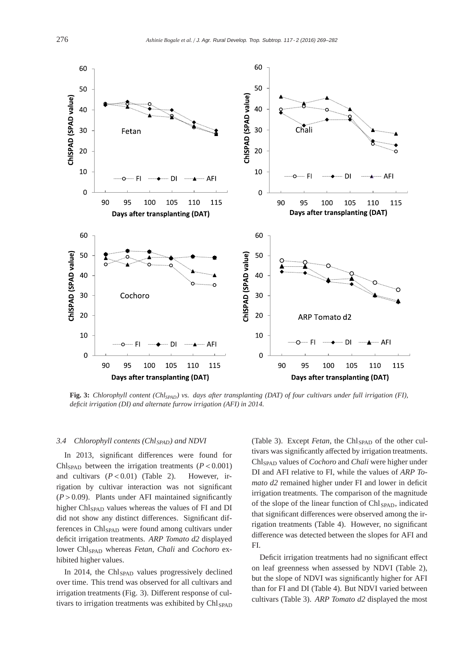

**Fig. 3:** *Chlorophyll content (ChlSPAD) vs. days after transplanting (DAT) of four cultivars under full irrigation (FI), deficit irrigation (DI) and alternate furrow irrigation (AFI) in 2014.*

## 3.4 Chlorophyll contents (Chl<sub>SPAD</sub>) and NDVI

In 2013, significant differences were found for Chl<sub>SPAD</sub> between the irrigation treatments  $(P < 0.001)$ and cultivars  $(P < 0.01)$  (Table 2). However, irrigation by cultivar interaction was not significant  $(P > 0.09)$ . Plants under AFI maintained significantly higher Chl<sub>SPAD</sub> values whereas the values of FI and DI did not show any distinct differences. Significant differences in Chl<sub>SPAD</sub> were found among cultivars under deficit irrigation treatments. *ARP Tomato d2* displayed lower ChlSPAD whereas *Fetan*, *Chali* and *Cochoro* exhibited higher values.

In 2014, the Chl<sub>SPAD</sub> values progressively declined over time. This trend was observed for all cultivars and irrigation treatments (Fig. 3). Different response of cultivars to irrigation treatments was exhibited by Chl<sub>SPAD</sub>

(Table 3). Except *Fetan*, the Chl<sub>SPAD</sub> of the other cultivars was significantly affected by irrigation treatments. ChlSPAD values of *Cochoro* and *Chali* were higher under DI and AFI relative to FI, while the values of *ARP Tomato d2* remained higher under FI and lower in deficit irrigation treatments. The comparison of the magnitude of the slope of the linear function of Chl<sub>SPAD</sub>, indicated that significant differences were observed among the irrigation treatments (Table 4). However, no significant difference was detected between the slopes for AFI and FI.

Deficit irrigation treatments had no significant effect on leaf greenness when assessed by NDVI (Table 2), but the slope of NDVI was significantly higher for AFI than for FI and DI (Table 4). But NDVI varied between cultivars (Table 3). *ARP Tomato d2* displayed the most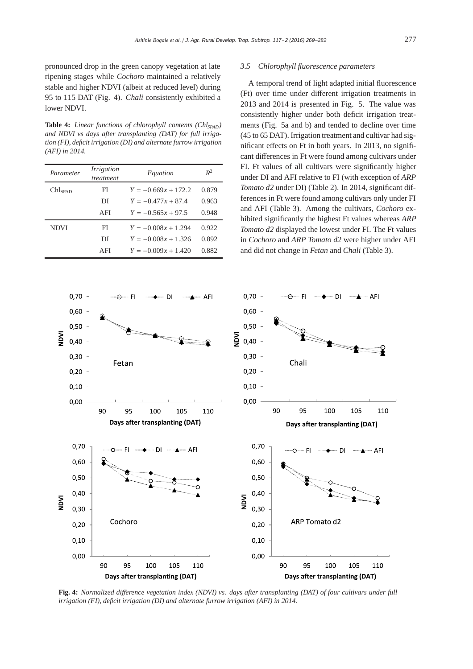pronounced drop in the green canopy vegetation at late ripening stages while *Cochoro* maintained a relatively stable and higher NDVI (albeit at reduced level) during 95 to 115 DAT (Fig. 4). *Chali* consistently exhibited a lower NDVI.

Table 4: *Linear functions of chlorophyll contents (Chl<sub>SPAD</sub>) and NDVI vs days after transplanting (DAT) for full irrigation (FI), deficit irrigation (DI) and alternate furrow irrigation (AFI) in 2014.*

| Parameter           | Irrigation<br>treatment | Equation              | $R^2$ |
|---------------------|-------------------------|-----------------------|-------|
| Chl <sub>span</sub> | FI                      | $Y = -0.669x + 172.2$ | 0.879 |
|                     | DI                      | $Y = -0.477x + 87.4$  | 0.963 |
|                     | AFI                     | $Y = -0.565x + 97.5$  | 0.948 |
| <b>NDVI</b>         | FI                      | $Y = -0.008x + 1.294$ | 0.922 |
|                     | DI                      | $Y = -0.008x + 1.326$ | 0.892 |
|                     | AFI                     | $Y = -0.009x + 1.420$ | 0.882 |



#### *3.5 Chlorophyll fluorescence parameters*

A temporal trend of light adapted initial fluorescence (Ft) over time under different irrigation treatments in 2013 and 2014 is presented in Fig. 5. The value was consistently higher under both deficit irrigation treatments (Fig. 5a and b) and tended to decline over time (45 to 65 DAT). Irrigation treatment and cultivar had significant effects on Ft in both years. In 2013, no significant differences in Ft were found among cultivars under FI. Ft values of all cultivars were significantly higher under DI and AFI relative to FI (with exception of *ARP Tomato d2* under DI) (Table 2). In 2014, significant differences in Ft were found among cultivars only under FI and AFI (Table 3). Among the cultivars, *Cochoro* exhibited significantly the highest Ft values whereas *ARP Tomato d2* displayed the lowest under FI. The Ft values in *Cochoro* and *ARP Tomato d2* were higher under AFI and did not change in *Fetan* and *Chali* (Table 3).



**Fig. 4:** *Normalized di*ff*erence vegetation index (NDVI) vs. days after transplanting (DAT) of four cultivars under full irrigation (FI), deficit irrigation (DI) and alternate furrow irrigation (AFI) in 2014.*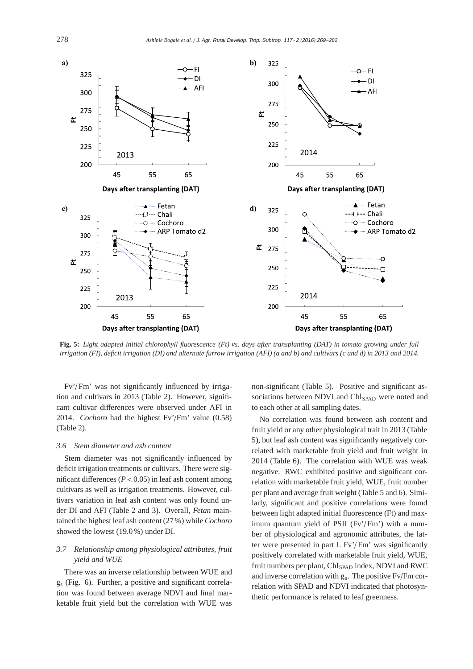

**Fig. 5:** *Light adapted initial chlorophyll fluorescence (Ft) vs. days after transplanting (DAT) in tomato growing under full irrigation (FI), deficit irrigation (DI) and alternate furrow irrigation (AFI) (a and b) and cultivars (c and d) in 2013 and 2014.*

Fv'/ Fm' was not significantly influenced by irrigation and cultivars in 2013 (Table 2). However, significant cultivar differences were observed under AFI in 2014. *Cochoro* had the highest Fv'/Fm' value (0.58) (Table 2).

## *3.6 Stem diameter and ash content*

Stem diameter was not significantly influenced by deficit irrigation treatments or cultivars. There were significant differences  $(P < 0.05)$  in leaf ash content among cultivars as well as irrigation treatments. However, cultivars variation in leaf ash content was only found under DI and AFI (Table 2 and 3). Overall, *Fetan* maintained the highest leaf ash content (27 %) while *Cochoro* showed the lowest (19.0%) under DI.

# *3.7 Relationship among physiological attributes, fruit yield and WUE*

There was an inverse relationship between WUE and gs (Fig. 6). Further, a positive and significant correlation was found between average NDVI and final marketable fruit yield but the correlation with WUE was

non-significant (Table 5). Positive and significant associations between NDVI and Chl<sub>SPAD</sub> were noted and to each other at all sampling dates.

No correlation was found between ash content and fruit yield or any other physiological trait in 2013 (Table 5), but leaf ash content was significantly negatively correlated with marketable fruit yield and fruit weight in 2014 (Table 6). The correlation with WUE was weak negative. RWC exhibited positive and significant correlation with marketable fruit yield, WUE, fruit number per plant and average fruit weight (Table 5 and 6). Similarly, significant and positive correlations were found between light adapted initial fluorescence (Ft) and maximum quantum yield of PSII (Fv'/Fm') with a number of physiological and agronomic attributes, the latter were presented in part I. Fv'/ Fm' was significantly positively correlated with marketable fruit yield, WUE, fruit numbers per plant,  $Chl<sub>SPAD</sub>$  index, NDVI and RWC and inverse correlation with gs. The positive Fv/Fm correlation with SPAD and NDVI indicated that photosynthetic performance is related to leaf greenness.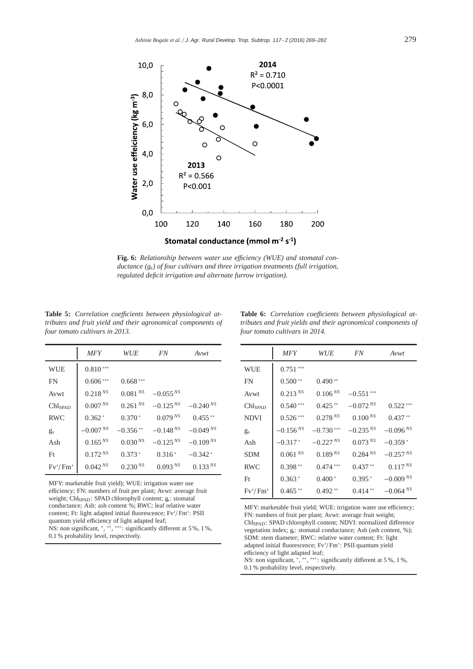

Fig. 6: Relationship between water use efficiency (WUE) and stomatal con*ductance (gs) of four cultivars and three irrigation treatments (full irrigation, regulated deficit irrigation and alternate furrow irrigation).*

Table 5: Correlation coefficients between physiological at*tributes and fruit yield and their agronomical components of four tomato cultivars in 2013.*

|                     | MFY                 | <i>WUE</i>          | FN                  | Avwt                |
|---------------------|---------------------|---------------------|---------------------|---------------------|
| <b>WUE</b>          | $0.810***$          |                     |                     |                     |
| <b>FN</b>           | $0.606***$          | $0.668***$          |                     |                     |
| Avwt                | $0.218^{NS}$        | $0.081 N^s$         | $-0.055^{NS}$       |                     |
| Chl <sub>SPAD</sub> | $0.007\,{}^{NS}$    | 0.261 <sup>NS</sup> | $-0.125^{NS}$       | $-0.240^{NS}$       |
| <b>RWC</b>          | $0.362*$            | $0.370*$            | 0.079 <sup>NS</sup> | $0.455***$          |
| $g_{s}$             | $-0.007 Ns$         | $-0.356**$          | $-0.148 Ns$         | $-0.049^{NS}$       |
| Ash                 | 0.165 <sup>NS</sup> | 0.030 <sup>NS</sup> | $-0.125NS$          | $-0.109^{NS}$       |
| Ft                  | 0.172 Ns            | $0.373*$            | $0.316*$            | $-0.342*$           |
| Fv'/Fm'             | 0.042 Ns            | 0.230 <sup>NS</sup> | 0.093 <sup>NS</sup> | 0.133 <sup>NS</sup> |

MFY: marketable fruit yield); WUE: irrigation water use efficiency; FN: numbers of fruit per plant; Avwt: average fruit weight; Chl<sub>SPAD</sub>: SPAD chlorophyll content; gs: stomatal conductance; Ash: ash content %; RWC: leaf relative water content; Ft: light adapted initial fluorescence; Fv'/ Fm': PSII quantum yield efficiency of light adapted leaf; NS: non significant, \*, \*\*, \*\*\*: significantly different at 5 %, 1 %, 0.1 % probability level, respectively.

| <b>Table 6:</b> Correlation coefficients between physiological at- |  |  |
|--------------------------------------------------------------------|--|--|
| tributes and fruit vields and their agronomical components of      |  |  |
| four tomato cultivars in 2014.                                     |  |  |

|                     | <b>MFY</b>          | WUE                 | <i>FN</i>           | Avwt          |
|---------------------|---------------------|---------------------|---------------------|---------------|
| <b>WUE</b>          | $0.751***$          |                     |                     |               |
| FN                  | $0.500**$           | $0.490**$           |                     |               |
| Avwt                | 0.213 <sup>NS</sup> | 0.106 <sup>NS</sup> | $-0.551***$         |               |
| Chl <sub>SPAD</sub> | $0.540***$          | $0.425**$           | $-0.072^{NS}$       | $0.522***$    |
| <b>NDVI</b>         | $0.526***$          | 0.278 Ns            | 0.100 <sup>NS</sup> | $0.437**$     |
| $g_s$               | $-0.156^{NS}$       | $-0.730***$         | $-0.235 Ns$         | $-0.096 Ns$   |
| Ash                 | $-0.317*$           | $-0.227 Ns$         | 0.073 Ns            | $-0.359*$     |
| SDM                 | 0.061 <sup>NS</sup> | 0.189 <sup>NS</sup> | $0.284^{NS}$        | $-0.257 Ns$   |
| <b>RWC</b>          | $0.398**$           | $0.474***$          | $0.437**$           | $0.117^{NS}$  |
| Ft                  | $0.363*$            | $0.400*$            | $0.395*$            | $-0.009NS$    |
| Fv'/Fm'             | $0.465**$           | $0.492**$           | $0.414**$           | $-0.064^{NS}$ |

MFY: marketable fruit yield; WUE: irrigation water use efficiency; FN: numbers of fruit per plant; Avwt: average fruit weight; ChlSPAD: SPAD chlorophyll content; NDVI: normalized difference vegetation index; gs: stomatal conductance; Ash (ash content, %); SDM: stem diameter; RWC: relative water content; Ft: light adapted initial fluorescence; Fv'/ Fm': PSII quantum yield efficiency of light adapted leaf;

NS: non significant, \*, \*\*\* \*\*\* : significantly different at 5 %, 1 %, 0.1 % probability level, respectively.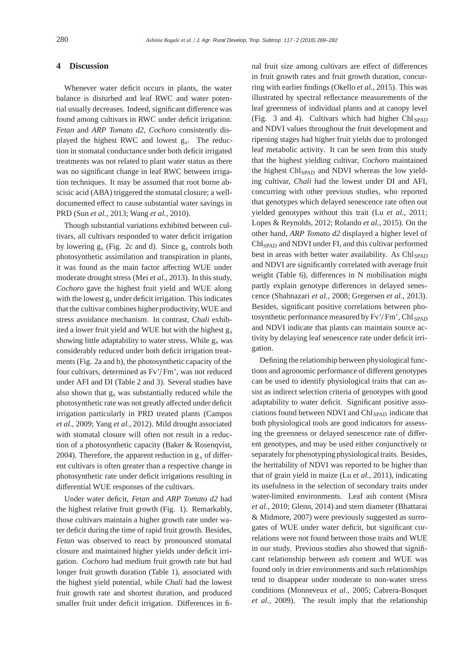## **4 Discussion**

Whenever water deficit occurs in plants, the water balance is disturbed and leaf RWC and water potential usually decreases. Indeed, significant difference was found among cultivars in RWC under deficit irrigation. *Fetan* and *ARP Tomato d2*, *Cochoro* consistently displayed the highest RWC and lowest gs. The reduction in stomatal conductance under both deficit irrigated treatments was not related to plant water status as there was no significant change in leaf RWC between irrigation techniques. It may be assumed that root borne abscisic acid (ABA) triggered the stomatal closure; a welldocumented effect to cause substantial water savings in PRD (Sun *et al.*, 2013; Wang *et al.*, 2010).

Though substantial variations exhibited between cultivars, all cultivars responded to water deficit irrigation by lowering  $g_s$  (Fig. 2c and d). Since  $g_s$  controls both photosynthetic assimilation and transpiration in plants, it was found as the main factor affecting WUE under moderate drought stress (Mei *et al.*, 2013). In this study, *Cochoro* gave the highest fruit yield and WUE along with the lowest  $g_s$  under deficit irrigation. This indicates that the cultivar combines higher productivity, WUE and stress avoidance mechanism. In contrast, *Chali* exhibited a lower fruit yield and WUE but with the highest  $g_s$ showing little adaptability to water stress. While  $g_s$  was considerably reduced under both deficit irrigation treatments (Fig. 2a and b), the photosynthetic capacity of the four cultivars, determined as Fv'/ Fm', was not reduced under AFI and DI (Table 2 and 3). Several studies have also shown that gs was substantially reduced while the photosynthetic rate was not greatly affected under deficit irrigation particularly in PRD treated plants (Campos *et al.*, 2009; Yang *et al.*, 2012). Mild drought associated with stomatal closure will often not result in a reduction of a photosynthetic capacity (Baker & Rosenqvist, 2004). Therefore, the apparent reduction in  $g_s$  of different cultivars is often greater than a respective change in photosynthetic rate under deficit irrigations resulting in differential WUE responses of the cultivars.

Under water deficit, *Fetan* and *ARP Tomato d2* had the highest relative fruit growth (Fig. 1). Remarkably, those cultivars maintain a higher growth rate under water deficit during the time of rapid fruit growth. Besides, *Fetan* was observed to react by pronounced stomatal closure and maintained higher yields under deficit irrigation. *Cochoro* had medium fruit growth rate but had longer fruit growth duration (Table 1), associated with the highest yield potential, while *Chali* had the lowest fruit growth rate and shortest duration, and produced smaller fruit under deficit irrigation. Differences in fi-

nal fruit size among cultivars are effect of differences in fruit growth rates and fruit growth duration, concurring with earlier findings (Okello *et al.*, 2015). This was illustrated by spectral reflectance measurements of the leaf greenness of individual plants and at canopy level (Fig. 3 and 4). Cultivars which had higher Chl  $_{\rm SPAD}$ and NDVI values throughout the fruit development and ripening stages had higher fruit yields due to prolonged leaf metabolic activity. It can be seen from this study that the highest yielding cultivar, *Cochoro* maintained the highest Chl<sub>SPAD</sub> and NDVI whereas the low yielding cultivar, *Chali* had the lowest under DI and AFI, concurring with other previous studies, who reported that genotypes which delayed senescence rate often out yielded genotypes without this trait (Lu *et al.*, 2011; Lopes & Reynolds, 2012; Rolando *et al.*, 2015). On the other hand, *ARP Tomato d2* displayed a higher level of Chl<sub>SPAD</sub> and NDVI under FI, and this cultivar performed best in areas with better water availability. As Chl<sub>SPAD</sub> and NDVI are significantly correlated with average fruit weight (Table 6), differences in N mobilisation might partly explain genotype differences in delayed senescence (Shahnazari *et al.*, 2008; Gregersen *et al.*, 2013). Besides, significant positive correlations between photosynthetic performance measured by Fv'/Fm', Chl SPAD and NDVI indicate that plants can maintain source activity by delaying leaf senescence rate under deficit irrigation.

Defining the relationship between physiological functions and agronomic performance of different genotypes can be used to identify physiological traits that can assist as indirect selection criteria of genotypes with good adaptability to water deficit. Significant positive associations found between NDVI and Chl<sub>SPAD</sub> indicate that both physiological tools are good indicators for assessing the greenness or delayed senescence rate of different genotypes, and may be used either conjunctively or separately for phenotyping physiological traits. Besides, the heritability of NDVI was reported to be higher than that of grain yield in maize (Lu *et al.*, 2011), indicating its usefulness in the selection of secondary traits under water-limited environments. Leaf ash content (Misra *et al.*, 2010; Glenn, 2014) and stem diameter (Bhattarai & Midmore, 2007) were previously suggested as surrogates of WUE under water deficit, but significant correlations were not found between those traits and WUE in our study. Previous studies also showed that significant relationship between ash content and WUE was found only in drier environments and such relationships tend to disappear under moderate to non-water stress conditions (Monneveux *et al.*, 2005; Cabrera-Bosquet *et al.*, 2009). The result imply that the relationship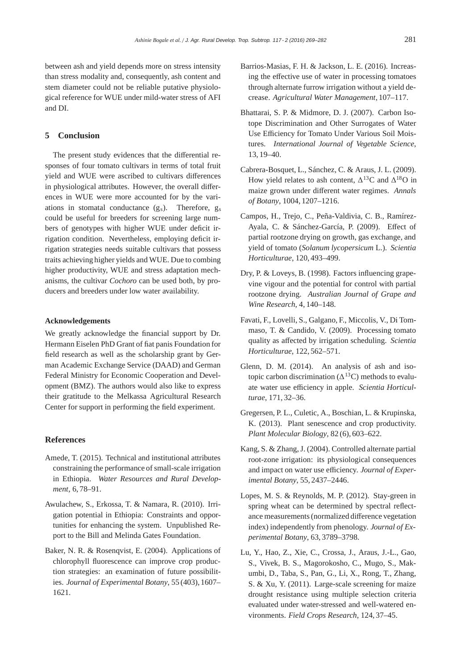between ash and yield depends more on stress intensity than stress modality and, consequently, ash content and stem diameter could not be reliable putative physiological reference for WUE under mild-water stress of AFI and DI.

## **5 Conclusion**

The present study evidences that the differential responses of four tomato cultivars in terms of total fruit yield and WUE were ascribed to cultivars differences in physiological attributes. However, the overall differences in WUE were more accounted for by the variations in stomatal conductance  $(g_s)$ . Therefore,  $g_s$ could be useful for breeders for screening large numbers of genotypes with higher WUE under deficit irrigation condition. Nevertheless, employing deficit irrigation strategies needs suitable cultivars that possess traits achieving higher yields and WUE. Due to combing higher productivity, WUE and stress adaptation mechanisms, the cultivar *Cochoro* can be used both, by producers and breeders under low water availability.

## **Acknowledgements**

We greatly acknowledge the financial support by Dr. Hermann Eiselen PhD Grant of fiat panis Foundation for field research as well as the scholarship grant by German Academic Exchange Service (DAAD) and German Federal Ministry for Economic Cooperation and Development (BMZ). The authors would also like to express their gratitude to the Melkassa Agricultural Research Center for support in performing the field experiment.

## **References**

- Amede, T. (2015). Technical and institutional attributes constraining the performance of small-scale irrigation in Ethiopia. *Water Resources and Rural Development*, 6, 78–91.
- Awulachew, S., Erkossa, T. & Namara, R. (2010). Irrigation potential in Ethiopia: Constraints and opportunities for enhancing the system. Unpublished Report to the Bill and Melinda Gates Foundation.
- Baker, N. R. & Rosenqvist, E. (2004). Applications of chlorophyll fluorescence can improve crop production strategies: an examination of future possibilities. *Journal of Experimental Botany*, 55 (403), 1607– 1621.
- Barrios-Masias, F. H. & Jackson, L. E. (2016). Increasing the effective use of water in processing tomatoes through alternate furrow irrigation without a yield decrease. *Agricultural Water Management*, 107–117.
- Bhattarai, S. P. & Midmore, D. J. (2007). Carbon Isotope Discrimination and Other Surrogates of Water Use Efficiency for Tomato Under Various Soil Moistures. *International Journal of Vegetable Science*, 13, 19–40.
- Cabrera-Bosquet, L., Sánchez, C. & Araus, J. L. (2009). How yield relates to ash content,  $\Delta^{13}$ C and  $\Delta^{18}$ O in maize grown under different water regimes. *Annals of Botany*, 1004, 1207–1216.
- Campos, H., Trejo, C., Peña-Valdivia, C. B., Ramírez-Ayala, C. & Sánchez-García, P. (2009). Effect of partial rootzone drying on growth, gas exchange, and yield of tomato (*Solanum lycopersicum* L.). *Scientia Horticulturae*, 120, 493–499.
- Dry, P. & Loveys, B. (1998). Factors influencing grapevine vigour and the potential for control with partial rootzone drying. *Australian Journal of Grape and Wine Research*, 4, 140–148.
- Favati, F., Lovelli, S., Galgano, F., Miccolis, V., Di Tommaso, T. & Candido, V. (2009). Processing tomato quality as affected by irrigation scheduling. *Scientia Horticulturae*, 122, 562–571.
- Glenn, D. M. (2014). An analysis of ash and isotopic carbon discrimination ( $\Delta^{13}$ C) methods to evaluate water use efficiency in apple. *Scientia Horticulturae*, 171, 32–36.
- Gregersen, P. L., Culetic, A., Boschian, L. & Krupinska, K. (2013). Plant senescence and crop productivity. *Plant Molecular Biology*, 82 (6), 603–622.
- Kang, S. & Zhang, J. (2004). Controlled alternate partial root-zone irrigation: its physiological consequences and impact on water use efficiency. *Journal of Experimental Botany*, 55, 2437–2446.
- Lopes, M. S. & Reynolds, M. P. (2012). Stay-green in spring wheat can be determined by spectral reflectance measurements (normalized difference vegetation index) independently from phenology. *Journal of Experimental Botany*, 63, 3789–3798.
- Lu, Y., Hao, Z., Xie, C., Crossa, J., Araus, J.-L., Gao, S., Vivek, B. S., Magorokosho, C., Mugo, S., Makumbi, D., Taba, S., Pan, G., Li, X., Rong, T., Zhang, S. & Xu, Y. (2011). Large-scale screening for maize drought resistance using multiple selection criteria evaluated under water-stressed and well-watered environments. *Field Crops Research*, 124, 37–45.